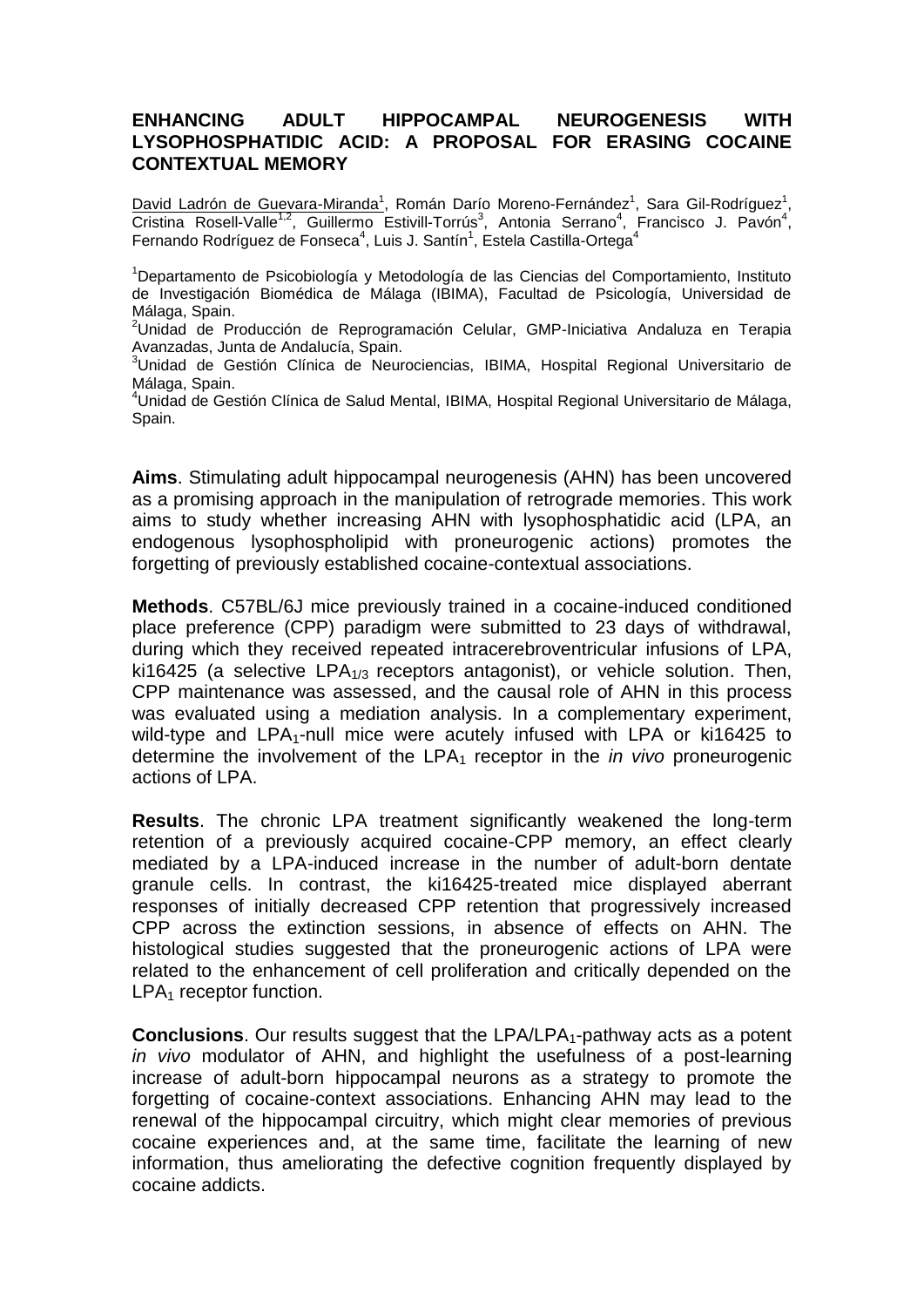## **ENHANCING ADULT HIPPOCAMPAL NEUROGENESIS WITH LYSOPHOSPHATIDIC ACID: A PROPOSAL FOR ERASING COCAINE CONTEXTUAL MEMORY**

David Ladrón de Guevara-Miranda<sup>1</sup>, Román Darío Moreno-Fernández<sup>1</sup>, Sara Gil-Rodríguez<sup>1</sup>, Cristina Rosell-Valle<sup>1,2</sup>, Guillermo Estivill-Torrús<sup>3</sup>, Antonia Serrano<sup>4</sup>, Francisco J. Pavón<sup>4</sup>, Fernando Rodríguez de Fonseca<sup>4</sup>, Luis J. Santín<sup>1</sup>, Estela Castilla-Ortega<sup>4</sup>

<sup>1</sup>Departamento de Psicobiología y Metodología de las Ciencias del Comportamiento, Instituto de Investigación Biomédica de Málaga (IBIMA), Facultad de Psicología, Universidad de Málaga, Spain.

<sup>2</sup>Unidad de Producción de Reprogramación Celular, GMP-Iniciativa Andaluza en Terapia Avanzadas, Junta de Andalucía, Spain.

<sup>3</sup>Unidad de Gestión Clínica de Neurociencias, IBIMA, Hospital Regional Universitario de Málaga, Spain.

<sup>4</sup>Unidad de Gestión Clínica de Salud Mental, IBIMA, Hospital Regional Universitario de Málaga, Spain.

**Aims**. Stimulating adult hippocampal neurogenesis (AHN) has been uncovered as a promising approach in the manipulation of retrograde memories. This work aims to study whether increasing AHN with lysophosphatidic acid (LPA, an endogenous lysophospholipid with proneurogenic actions) promotes the forgetting of previously established cocaine-contextual associations.

**Methods**. C57BL/6J mice previously trained in a cocaine-induced conditioned place preference (CPP) paradigm were submitted to 23 days of withdrawal, during which they received repeated intracerebroventricular infusions of LPA, ki16425 (a selective LPA<sub>1/3</sub> receptors antagonist), or vehicle solution. Then, CPP maintenance was assessed, and the causal role of AHN in this process was evaluated using a mediation analysis. In a complementary experiment, wild-type and  $LPA_1$ -null mice were acutely infused with  $LPA$  or ki16425 to determine the involvement of the LPA<sub>1</sub> receptor in the *in vivo* proneurogenic actions of LPA.

**Results**. The chronic LPA treatment significantly weakened the long-term retention of a previously acquired cocaine-CPP memory, an effect clearly mediated by a LPA-induced increase in the number of adult-born dentate granule cells. In contrast, the ki16425-treated mice displayed aberrant responses of initially decreased CPP retention that progressively increased CPP across the extinction sessions, in absence of effects on AHN. The histological studies suggested that the proneurogenic actions of LPA were related to the enhancement of cell proliferation and critically depended on the  $LPA<sub>1</sub>$  receptor function.

**Conclusions**. Our results suggest that the LPA/LPA<sub>1</sub>-pathway acts as a potent *in vivo* modulator of AHN, and highlight the usefulness of a post-learning increase of adult-born hippocampal neurons as a strategy to promote the forgetting of cocaine-context associations. Enhancing AHN may lead to the renewal of the hippocampal circuitry, which might clear memories of previous cocaine experiences and, at the same time, facilitate the learning of new information, thus ameliorating the defective cognition frequently displayed by cocaine addicts.